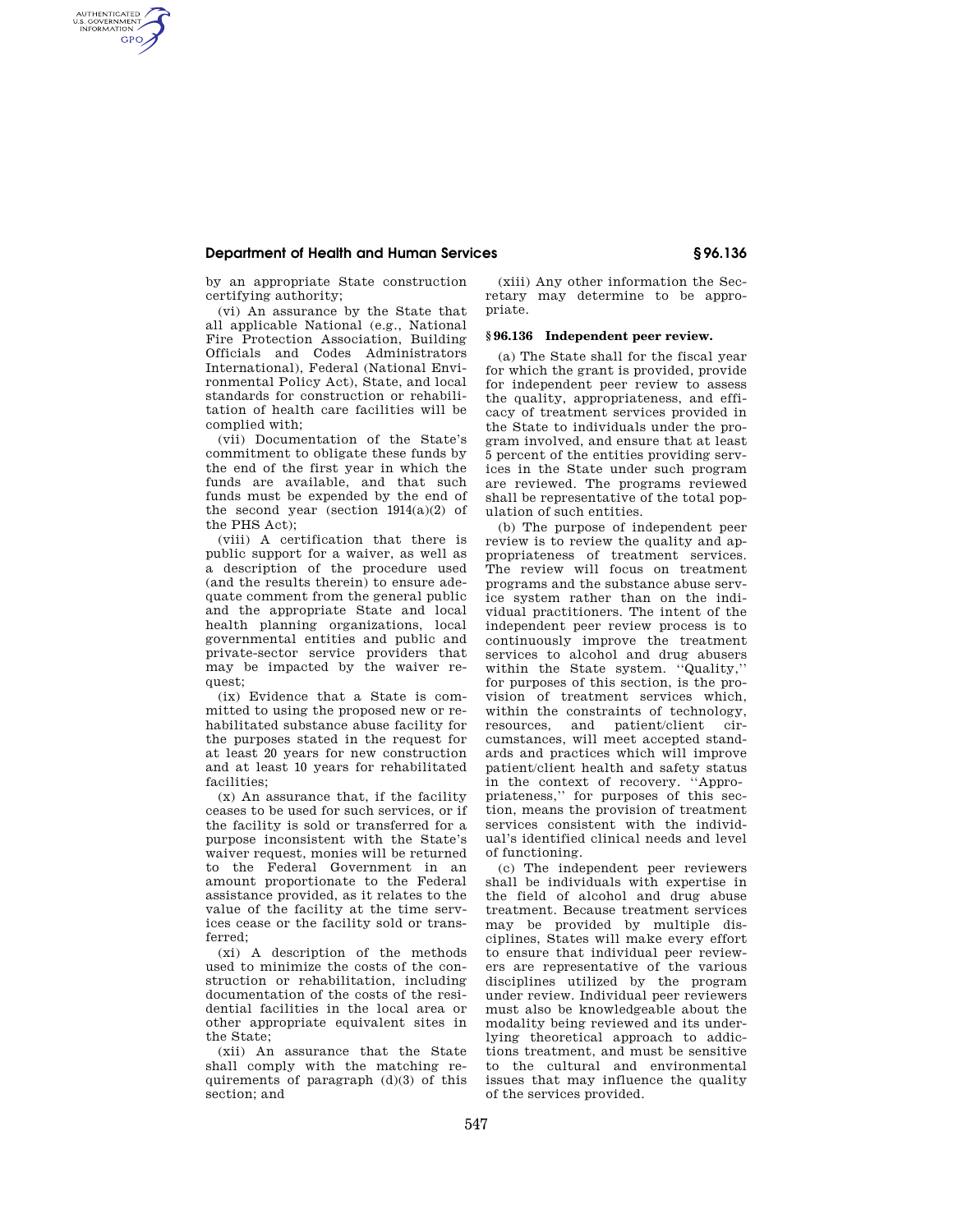# **Department of Health and Human Services § 96.136**

by an appropriate State construction certifying authority;

AUTHENTICATED<br>U.S. GOVERNMENT<br>INFORMATION **GPO** 

> (vi) An assurance by the State that all applicable National (e.g., National Fire Protection Association, Building Officials and Codes Administrators International), Federal (National Environmental Policy Act), State, and local standards for construction or rehabilitation of health care facilities will be complied with;

> (vii) Documentation of the State's commitment to obligate these funds by the end of the first year in which the funds are available, and that such funds must be expended by the end of the second year (section 1914(a)(2) of the PHS Act);

> (viii) A certification that there is public support for a waiver, as well as a description of the procedure used (and the results therein) to ensure adequate comment from the general public and the appropriate State and local health planning organizations, local governmental entities and public and private-sector service providers that may be impacted by the waiver request;

> (ix) Evidence that a State is committed to using the proposed new or rehabilitated substance abuse facility for the purposes stated in the request for at least 20 years for new construction and at least 10 years for rehabilitated facilities;

> (x) An assurance that, if the facility ceases to be used for such services, or if the facility is sold or transferred for a purpose inconsistent with the State's waiver request, monies will be returned to the Federal Government in an amount proportionate to the Federal assistance provided, as it relates to the value of the facility at the time services cease or the facility sold or transferred;

> (xi) A description of the methods used to minimize the costs of the construction or rehabilitation, including documentation of the costs of the residential facilities in the local area or other appropriate equivalent sites in the State;

> (xii) An assurance that the State shall comply with the matching requirements of paragraph (d)(3) of this section; and

(xiii) Any other information the Secretary may determine to be appropriate.

## **§ 96.136 Independent peer review.**

(a) The State shall for the fiscal year for which the grant is provided, provide for independent peer review to assess the quality, appropriateness, and efficacy of treatment services provided in the State to individuals under the program involved, and ensure that at least 5 percent of the entities providing services in the State under such program are reviewed. The programs reviewed shall be representative of the total population of such entities.

(b) The purpose of independent peer review is to review the quality and appropriateness of treatment services. The review will focus on treatment programs and the substance abuse service system rather than on the individual practitioners. The intent of the independent peer review process is to continuously improve the treatment services to alcohol and drug abusers within the State system. ''Quality,'' for purposes of this section, is the provision of treatment services which, within the constraints of technology, resources, and patient/client circumstances, will meet accepted standards and practices which will improve patient/client health and safety status in the context of recovery. ''Appropriateness,'' for purposes of this section, means the provision of treatment services consistent with the individual's identified clinical needs and level of functioning.

(c) The independent peer reviewers shall be individuals with expertise in the field of alcohol and drug abuse treatment. Because treatment services may be provided by multiple disciplines, States will make every effort to ensure that individual peer reviewers are representative of the various disciplines utilized by the program under review. Individual peer reviewers must also be knowledgeable about the modality being reviewed and its underlying theoretical approach to addictions treatment, and must be sensitive to the cultural and environmental issues that may influence the quality of the services provided.